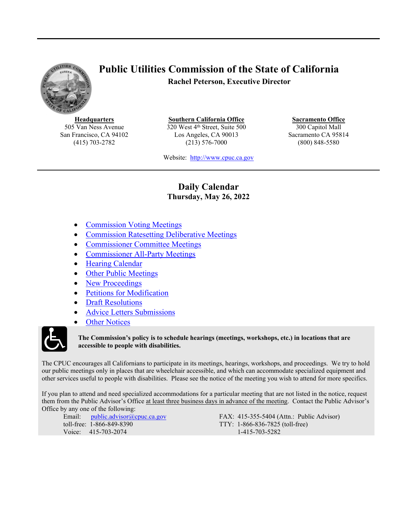<span id="page-0-1"></span>

## **Public Utilities Commission of the State of California Rachel Peterson, Executive Director**

**Headquarters** 505 Van Ness Avenue San Francisco, CA 94102 (415) 703-2782

**Southern California Office** 320 West 4<sup>th</sup> Street, Suite 500 Los Angeles, CA 90013 (213) 576-7000

**Sacramento Office** 300 Capitol Mall Sacramento CA 95814 (800) 848-5580

Website: [http://www.cpuc.ca.gov](file://gc5filesrv231/VDI-AppData/CW4/AppData/Roaming/OpenText/OTEdit/cs_cpuc_ca_gov-otcs/c323758965/www.cpuc.ca.gov)

### **Daily Calendar Thursday, May 26, 2022**

- <span id="page-0-0"></span>[Commission](#page-1-0) Voting Meeting[s](#page-1-0)
- [Commission](#page-1-1) Ratesetting Deliberati[ve](#page-1-2) Meeting[s](#page-1-1)
- [Commissioner](#page-1-2) Committee Meetings
- [Commissioner](#page-1-3) All-Party Meetings
- Hearing [Calendar](#page-1-4)
- Other Public [Meetings](#page-3-0)
- New [Proceedings](#page-5-0)
- Petitions for [Modification](#page-5-1)
- Draft [Resolutions](#page-5-2)
- Advice Letters [Submissions](#page-8-0)
- Other [Notices](#page-9-0)



#### **The Commission's policy is to schedule hearings (meetings, workshops, etc.) in locations that are accessible to people with disabilities.**

The CPUC encourages all Californians to participate in its meetings, hearings, workshops, and proceedings. We try to hold our public meetings only in places that are wheelchair accessible, and which can accommodate specialized equipment and other services useful to people with disabilities. Please see the notice of the meeting you wish to attend for more specifics.

If you plan to attend and need specialized accommodations for a particular meeting that are not listed in the notice, request them from the Public Advisor's Office at least three business days in advance of the meeting. Contact the Public Advisor's Office by any one of the following:

Email: [public.advisor@cpuc.ca.gov](file://gc5filesrv231/VDI-AppData/CW4/AppData/Roaming/OpenText/OTEdit/cs_cpuc_ca_gov-otcs/c323758965/public.advisor@cpuc.ca.gov) toll-free: 1-866-849-8390 Voice: 415-703-2074

FAX: 415-355-5404 (Attn.: Public Advisor) TTY: 1-866-836-7825 (toll-free) 1-415-703-5282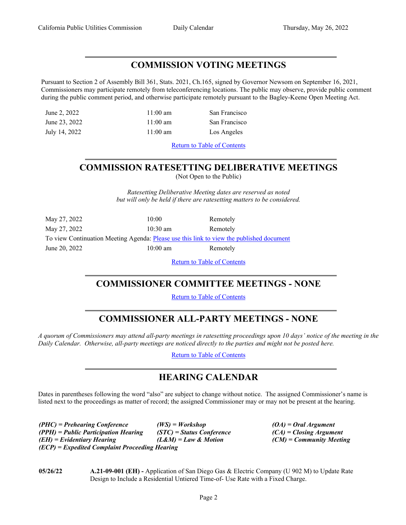### <span id="page-1-0"></span>**COMMISSION VOTING MEETINGS**

Pursuant to Section 2 of Assembly Bill 361, Stats. 2021, Ch.165, signed by Governor Newsom on September 16, 2021, Commissioners may participate remotely from teleconferencing locations. The public may observe, provide public comment during the public comment period, and otherwise participate remotely pursuant to the Bagley-Keene Open Meeting Act.

June 2, 2022 11:00 am San Francisco June 23, 2022 11:00 am San Francisco July 14, 2022 11:00 am Los Angeles

Return to Table of [Contents](#page-0-0)

# <span id="page-1-1"></span>**COMMISSION RATESETTING DELIBERATIVE MEETINGS**

(Not Open to the Public)

*Ratesetting Deliberative Meeting dates are reserved as noted but will only be held if there are ratesetting matters to be considered.*

| May 27, 2022                                                                             | 10:00              | Remotely |
|------------------------------------------------------------------------------------------|--------------------|----------|
| May 27, 2022                                                                             | $10:30 \text{ am}$ | Remotely |
| To view Continuation Meeting Agenda: Please use this link to view the published document |                    |          |
| June 20, 2022                                                                            | $10:00 \text{ am}$ | Remotely |

Return to Table of [Contents](#page-0-1)

### <span id="page-1-2"></span>**COMMISSIONER COMMITTEE MEETINGS - NONE**

Return to Table of [Contents](#page-0-0)

# <span id="page-1-3"></span>**COMMISSIONER ALL-PARTY MEETINGS - NONE**

A quorum of Commissioners may attend all-party meetings in ratesetting proceedings upon 10 days' notice of the meeting in the *Daily Calendar. Otherwise, all-party meetings are noticed directly to the parties and might not be posted here.*

Return to Table of [Contents](#page-0-0)

### <span id="page-1-4"></span>**HEARING CALENDAR**

Dates in parentheses following the word "also" are subject to change without notice. The assigned Commissioner's name is listed next to the proceedings as matter of record; the assigned Commissioner may or may not be present at the hearing.

*(PHC) = Prehearing Conference (WS) = Workshop (OA) = Oral Argument (PPH) = Public Participation Hearing (STC) = Status Conference (CA) = Closing Argument (EH) = Evidentiary Hearing (L&M) = Law & Motion (CM) = Community Meeting (ECP) = Expedited Complaint Proceeding Hearing*

**05/26/22 A.21-09-001 (EH) -** Application of San Diego Gas & Electric Company (U 902 M) to Update Rate Design to Include a Residential Untiered Time-of- Use Rate with a Fixed Charge.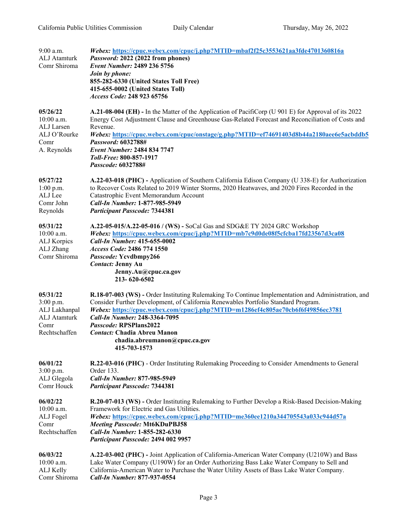| $9:00$ a.m.<br>ALJ Atamturk<br>Comr Shiroma                                     | Webex: https://cpuc.webex.com/cpuc/j.php?MTID=mbaf2f25c3553621aa3fde4701360816a<br>Password: 2022 (2022 from phones)<br>Event Number: 2489 236 5756<br>Join by phone:<br>855-282-6330 (United States Toll Free)<br>415-655-0002 (United States Toll)<br>Access Code: 248 923 65756                                                                                                                                                   |
|---------------------------------------------------------------------------------|--------------------------------------------------------------------------------------------------------------------------------------------------------------------------------------------------------------------------------------------------------------------------------------------------------------------------------------------------------------------------------------------------------------------------------------|
| 05/26/22<br>$10:00$ a.m.<br>ALJ Larsen<br>ALJ O'Rourke<br>Comr<br>A. Reynolds   | A.21-08-004 (EH) - In the Matter of the Application of PacifiCorp (U 901 E) for Approval of its 2022<br>Energy Cost Adjustment Clause and Greenhouse Gas-Related Forecast and Reconciliation of Costs and<br>Revenue.<br>Webex: https://cpuc.webex.com/cpuc/onstage/g.php?MTID=ef74691403d8b44a2180aee6e5acbddb5<br>Password: 6032788#<br><b>Event Number: 2484 834 7747</b><br>Toll-Free: 800-857-1917<br><i>Passcode:</i> 6032788# |
| 05/27/22<br>1:00 p.m.<br>ALJ Lee<br>Comr John<br>Reynolds                       | A.22-03-018 (PHC) - Application of Southern California Edison Company (U 338-E) for Authorization<br>to Recover Costs Related to 2019 Winter Storms, 2020 Heatwaves, and 2020 Fires Recorded in the<br>Catastrophic Event Memorandum Account<br>Call-In Number: 1-877-985-5949<br><b>Participant Passcode: 7344381</b>                                                                                                               |
| 05/31/22<br>$10:00$ a.m.<br>ALJ Korpics<br>ALJ Zhang<br>Comr Shiroma            | A.22-05-015/A.22-05-016 / (WS) - SoCal Gas and SDG&E TY 2024 GRC Workshop<br>Webex: https://cpuc.webex.com/cpuc/j.php?MTID=mb7c9d0de08f5cfcba17fd23567d3ca08<br>Call-In Number: 415-655-0002<br>Access Code: 2486 774 1550<br>Passcode: Yevdbmpy266<br><b>Contact: Jenny Au</b><br>Jenny.Au@cpuc.ca.gov<br>213-620-6502                                                                                                              |
| 05/31/22<br>3:00 p.m.<br>ALJ Lakhanpal<br>ALJ Atamturk<br>Comr<br>Rechtschaffen | R.18-07-003 (WS) - Order Instituting Rulemaking To Continue Implementation and Administration, and<br>Consider Further Development, of California Renewables Portfolio Standard Program.<br>Webex: https://cpuc.webex.com/cpuc/j.php?MTID=m1286ef4c805ae70cb6f6f49856ec3781<br>Call-In Number: 248-3364-7095<br>Passcode: RPSPlans2022<br><b>Contact: Chadia Abreu Manon</b><br>chadia.abreumanon@cpuc.ca.gov<br>415-703-1573        |
| 06/01/22<br>3:00 p.m.<br>ALJ Glegola<br>Comr Houck                              | R.22-03-016 (PHC) - Order Instituting Rulemaking Proceeding to Consider Amendments to General<br>Order 133.<br>Call-In Number: 877-985-5949<br><b>Participant Passcode: 7344381</b>                                                                                                                                                                                                                                                  |
| 06/02/22<br>$10:00$ a.m.<br>ALJ Fogel<br>Comr<br>Rechtschaffen                  | R.20-07-013 (WS) - Order Instituting Rulemaking to Further Develop a Risk-Based Decision-Making<br>Framework for Electric and Gas Utilities.<br>Webex: https://cpuc.webex.com/cpuc/j.php?MTID=me360ee1210a344705543a033c944d57a<br><b>Meeting Passcode: Mt6KDuPBJ58</b><br>Call-In Number: 1-855-282-6330<br>Participant Passcode: 2494 002 9957                                                                                     |
| 06/03/22<br>10:00 a.m.<br>ALJ Kelly<br>Comr Shiroma                             | A.22-03-002 (PHC) - Joint Application of California-American Water Company (U210W) and Bass<br>Lake Water Company (U190W) for an Order Authorizing Bass Lake Water Company to Sell and<br>California-American Water to Purchase the Water Utility Assets of Bass Lake Water Company.<br>Call-In Number: 877-937-0554                                                                                                                 |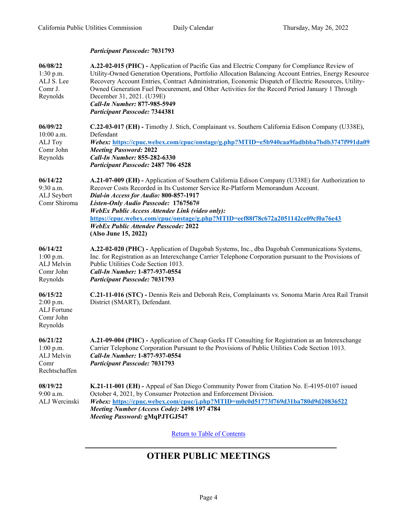|                                                                      | <b>Participant Passcode: 7031793</b>                                                                                                                                                                                                                                                                                                                                                                                                                                                                                 |
|----------------------------------------------------------------------|----------------------------------------------------------------------------------------------------------------------------------------------------------------------------------------------------------------------------------------------------------------------------------------------------------------------------------------------------------------------------------------------------------------------------------------------------------------------------------------------------------------------|
| 06/08/22<br>1:30 p.m.<br>ALJ S. Lee<br>Comr J.<br>Reynolds           | A.22-02-015 (PHC) - Application of Pacific Gas and Electric Company for Compliance Review of<br>Utility-Owned Generation Operations, Portfolio Allocation Balancing Account Entries, Energy Resource<br>Recovery Account Entries, Contract Administration, Economic Dispatch of Electric Resources, Utility-<br>Owned Generation Fuel Procurement, and Other Activities for the Record Period January 1 Through<br>December 31, 2021. (U39E)<br>Call-In Number: 877-985-5949<br><b>Participant Passcode: 7344381</b> |
| 06/09/22<br>10:00 a.m.<br>ALJ Toy<br>Comr John<br>Reynolds           | C.22-03-017 (EH) - Timothy J. Stich, Complainant vs. Southern California Edison Company (U338E),<br>Defendant<br>Webex: https://cpuc.webex.com/cpuc/onstage/g.php?MTID=e5b940caa9fadbbba7bdb3747f991da09<br><b>Meeting Password: 2022</b><br>Call-In Number: 855-282-6330<br>Participant Passcode: 2487 706 4528                                                                                                                                                                                                     |
| 06/14/22<br>9:30 a.m.<br>ALJ Seybert<br>Comr Shiroma                 | A.21-07-009 (EH) - Application of Southern California Edison Company (U338E) for Authorization to<br>Recover Costs Recorded in Its Customer Service Re-Platform Memorandum Account.<br>Dial-in Access for Audio: 800-857-1917<br>Listen-Only Audio Passcode: 1767567#<br>WebEx Public Access Attendee Link (video only):<br>https://cpuc.webex.com/cpuc/onstage/g.php?MTID=eef88f78c672a2051142ce09cf0a76e43<br><b>WebEx Public Attendee Passcode: 2022</b><br>(Also June 15, 2022)                                  |
| 06/14/22<br>$1:00$ p.m.<br>ALJ Melvin<br>Comr John<br>Reynolds       | A.22-02-020 (PHC) - Application of Dagobah Systems, Inc., dba Dagobah Communications Systems,<br>Inc. for Registration as an Interexchange Carrier Telephone Corporation pursuant to the Provisions of<br>Public Utilities Code Section 1013.<br>Call-In Number: 1-877-937-0554<br><b>Participant Passcode: 7031793</b>                                                                                                                                                                                              |
| 06/15/22<br>2:00 p.m.<br><b>ALJ</b> Fortune<br>Comr John<br>Reynolds | C.21-11-016 (STC) - Dennis Reis and Deborah Reis, Complainants vs. Sonoma Marin Area Rail Transit<br>District (SMART), Defendant.                                                                                                                                                                                                                                                                                                                                                                                    |
| 06/21/22<br>1:00 p.m.<br>ALJ Melvin<br>Comr<br>Rechtschaffen         | A.21-09-004 (PHC) - Application of Cheap Geeks IT Consulting for Registration as an Interexchange<br>Carrier Telephone Corporation Pursuant to the Provisions of Public Utilities Code Section 1013.<br>Call-In Number: 1-877-937-0554<br><b>Participant Passcode: 7031793</b>                                                                                                                                                                                                                                       |
| 08/19/22<br>9:00 a.m.<br>ALJ Wercinski                               | K.21-11-001 (EH) - Appeal of San Diego Community Power from Citation No. E-4195-0107 issued<br>October 4, 2021, by Consumer Protection and Enforcement Division.<br>Webex: https://cpuc.webex.com/cpuc/j.php?MTID=m0c0d51773f769d31ba780d9d20836522<br>Meeting Number (Access Code): 2498 197 4784<br><b>Meeting Password: gMqPJTGJ547</b>                                                                                                                                                                           |

Return to Table of [Contents](#page-0-1)

# <span id="page-3-0"></span>**OTHER PUBLIC MEETINGS**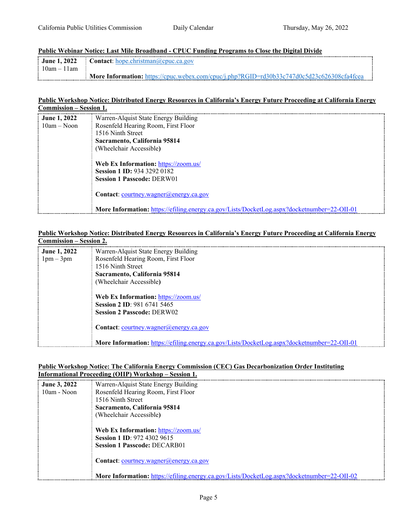#### **Public Webinar Notice: Last Mile Broadband - CPUC Funding Programs to Close the Digital Divide**

|                           | <b>June 1, 2022</b> Contact: hope.christman@cpuc.ca.gov                                           |
|---------------------------|---------------------------------------------------------------------------------------------------|
| $\frac{1}{2}$ 10am – 11am |                                                                                                   |
|                           | <b>More Information:</b> https://cpuc.webex.com/cpuc/i.php?RGID=rd30b33c747d0c5d23c626308cfa4fcea |

#### **Public Workshop Notice: Distributed Energy Resources in California's Energy Future Proceeding at California Energy Commission – Session 1.**

| <b>June 1, 2022</b> | Warren-Alquist State Energy Building                                                               |
|---------------------|----------------------------------------------------------------------------------------------------|
| $10am - Noon$       | Rosenfeld Hearing Room, First Floor                                                                |
|                     | 1516 Ninth Street                                                                                  |
|                     | Sacramento, California 95814                                                                       |
|                     | (Wheelchair Accessible)                                                                            |
|                     |                                                                                                    |
|                     | Web Ex Information: https://zoom.us/                                                               |
|                     | <b>Session 1 ID: 934 3292 0182</b>                                                                 |
|                     | <b>Session 1 Passcode: DERW01</b>                                                                  |
|                     |                                                                                                    |
|                     | <b>Contact:</b> courtney.wagner@energy.ca.gov                                                      |
|                     |                                                                                                    |
|                     | <b>More Information:</b> https://efiling.energy.ca.gov/Lists/DocketLog.aspx?docketnumber=22-OII-01 |

#### **Public Workshop Notice: Distributed Energy Resources in California's Energy Future Proceeding at California Energy Commission – Session 2.**

| <b>June 1, 2022</b> | Warren-Alquist State Energy Building                                                               |
|---------------------|----------------------------------------------------------------------------------------------------|
| $1pm-3pm$           | Rosenfeld Hearing Room, First Floor                                                                |
|                     | 1516 Ninth Street                                                                                  |
|                     | Sacramento, California 95814                                                                       |
|                     | (Wheelchair Accessible)                                                                            |
|                     | Web Ex Information: https://zoom.us/                                                               |
|                     | <b>Session 2 ID: 981 6741 5465</b>                                                                 |
|                     | <b>Session 2 Passcode: DERW02</b>                                                                  |
|                     | <b>Contact:</b> courtney.wagner $(a)$ energy.ca.gov                                                |
|                     | <b>More Information:</b> https://efiling.energy.ca.gov/Lists/DocketLog.aspx?docketnumber=22-OII-01 |

#### **Public Workshop Notice: The California Energy Commission (CEC) Gas Decarbonization Order Instituting Informational Proceeding (OIIP) Workshop – Session 1.**

| <b>June 3, 2022</b> | Warren-Alquist State Energy Building                                                               |
|---------------------|----------------------------------------------------------------------------------------------------|
| 10am - Noon         | Rosenfeld Hearing Room, First Floor                                                                |
|                     | 1516 Ninth Street                                                                                  |
|                     | Sacramento, California 95814                                                                       |
|                     | (Wheelchair Accessible)                                                                            |
|                     |                                                                                                    |
|                     | Web Ex Information: https://zoom.us/                                                               |
|                     | <b>Session 1 ID: 972 4302 9615</b>                                                                 |
|                     | <b>Session 1 Passcode: DECARB01</b>                                                                |
|                     |                                                                                                    |
|                     | <b>Contact:</b> courtney.wagner $(a)$ energy.ca.gov                                                |
|                     |                                                                                                    |
|                     | <b>More Information:</b> https://efiling.energy.ca.gov/Lists/DocketLog.aspx?docketnumber=22-OII-02 |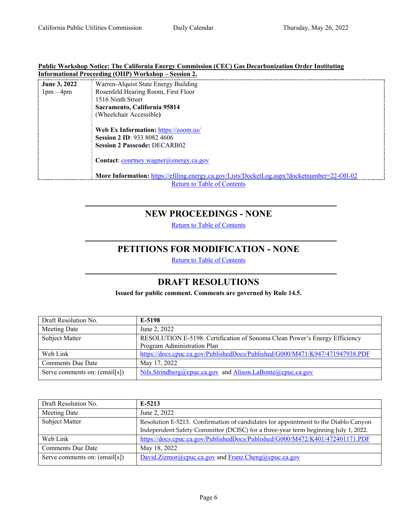#### **Public Workshop Notice: The California Energy Commission (CEC) Gas Decarbonization Order Instituting Informational Proceeding (OIIP) Workshop – Session 2.**

| <b>June 3, 2022</b> | Warren-Alquist State Energy Building                                                               |
|---------------------|----------------------------------------------------------------------------------------------------|
| $1pm-4pm$           | Rosenfeld Hearing Room, First Floor                                                                |
|                     | 1516 Ninth Street                                                                                  |
|                     | Sacramento, California 95814                                                                       |
|                     | (Wheelchair Accessible)                                                                            |
|                     |                                                                                                    |
|                     | Web Ex Information: https://zoom.us/                                                               |
|                     | <b>Session 2 ID: 933 8082 4606</b>                                                                 |
|                     | <b>Session 2 Passcode: DECARB02</b>                                                                |
|                     |                                                                                                    |
|                     | <b>Contact:</b> courtney.wagner@energy.ca.gov                                                      |
|                     |                                                                                                    |
|                     | <b>More Information:</b> https://efiling.energy.ca.gov/Lists/DocketLog.aspx?docketnumber=22-OII-02 |
|                     | <b>Return to Table of Contents</b>                                                                 |

### <span id="page-5-0"></span>**NEW PROCEEDINGS - NONE**

Return to Table of [Contents](#page-0-0)

### **PETITIONS FOR MODIFICATION - NONE**

Return to Table of [Contents](#page-0-0)

### <span id="page-5-2"></span>**DRAFT RESOLUTIONS**

**Issued for public comment. Comments are governed by Rule 14.5.**

<span id="page-5-1"></span>

| Draft Resolution No.          | E-5198                                                                        |
|-------------------------------|-------------------------------------------------------------------------------|
| Meeting Date                  | June 2, 2022                                                                  |
| Subject Matter                | RESOLUTION E-5198: Certification of Sonoma Clean Power's Energy Efficiency    |
|                               | Program Administration Plan                                                   |
| Web Link                      | https://docs.cpuc.ca.gov/PublishedDocs/Published/G000/M471/K947/471947938.PDF |
| <b>Comments Due Date</b>      | May 17, 2022                                                                  |
| Serve comments on: (email[s]) | Nils.Strindberg@cpuc.ca.gov and Alison.LaBonte@cpuc.ca.gov                    |

| Draft Resolution No.          | $E-5213$                                                                           |
|-------------------------------|------------------------------------------------------------------------------------|
| Meeting Date                  | June 2, 2022                                                                       |
| <b>Subject Matter</b>         | Resolution E-5213. Confirmation of candidates for appointment to the Diablo Canyon |
|                               | Independent Safety Committee (DCISC) for a three-year term beginning July 1, 2022. |
| Web Link                      | https://docs.cpuc.ca.gov/PublishedDocs/Published/G000/M472/K401/472401171.PDF      |
| <b>Comments Due Date</b>      | May 18, 2022                                                                       |
| Serve comments on: (email[s]) | David.Zizmor@cpuc.ca.gov and Franz.Cheng@cpuc.ca.gov                               |
|                               |                                                                                    |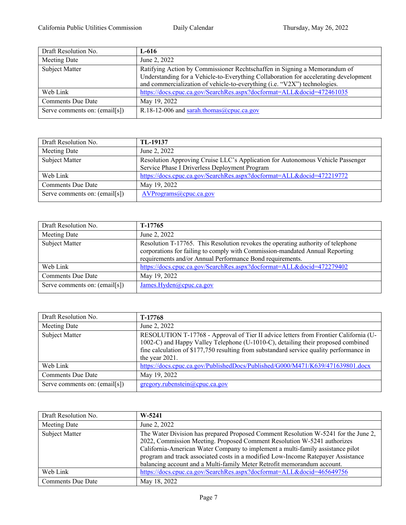| Draft Resolution No.          | $L-616$                                                                              |
|-------------------------------|--------------------------------------------------------------------------------------|
| Meeting Date                  | June 2, 2022                                                                         |
| Subject Matter                | Ratifying Action by Commissioner Rechtschaffen in Signing a Memorandum of            |
|                               | Understanding for a Vehicle-to-Everything Collaboration for accelerating development |
|                               | and commercialization of vehicle-to-everything (i.e. "V2X") technologies.            |
| Web Link                      | https://docs.cpuc.ca.gov/SearchRes.aspx?docformat=ALL&docid=472461035                |
| <b>Comments Due Date</b>      | May 19, 2022                                                                         |
| Serve comments on: (email[s]) | R.18-12-006 and sarah.thomas@cpuc.ca.gov                                             |

| Draft Resolution No.          | TL-19137                                                                       |
|-------------------------------|--------------------------------------------------------------------------------|
| Meeting Date                  | June 2, 2022                                                                   |
| Subject Matter                | Resolution Approving Cruise LLC's Application for Autonomous Vehicle Passenger |
|                               | Service Phase I Driverless Deployment Program                                  |
| Web Link                      | https://docs.cpuc.ca.gov/SearchRes.aspx?docformat=ALL&docid=472219772          |
| <b>Comments Due Date</b>      | May 19, 2022                                                                   |
| Serve comments on: (email[s]) | AVPrograms@cpuc.ca.gov                                                         |

| Draft Resolution No.          | T-17765                                                                                                                                                                                                                       |
|-------------------------------|-------------------------------------------------------------------------------------------------------------------------------------------------------------------------------------------------------------------------------|
| Meeting Date                  | June 2, 2022                                                                                                                                                                                                                  |
| Subject Matter                | Resolution T-17765. This Resolution revokes the operating authority of telephone<br>corporations for failing to comply with Commission-mandated Annual Reporting<br>requirements and/or Annual Performance Bond requirements. |
| Web Link                      | https://docs.cpuc.ca.gov/SearchRes.aspx?docformat=ALL&docid=472279402                                                                                                                                                         |
| <b>Comments Due Date</b>      | May 19, 2022                                                                                                                                                                                                                  |
| Serve comments on: (email[s]) | James.Hyden@cpuc.ca.gov                                                                                                                                                                                                       |

| Draft Resolution No.          | T-17768                                                                                                                                                                                                                                                                                  |
|-------------------------------|------------------------------------------------------------------------------------------------------------------------------------------------------------------------------------------------------------------------------------------------------------------------------------------|
| Meeting Date                  | June 2, 2022                                                                                                                                                                                                                                                                             |
| Subject Matter                | RESOLUTION T-17768 - Approval of Tier II advice letters from Frontier California (U-<br>1002-C) and Happy Valley Telephone (U-1010-C), detailing their proposed combined<br>fine calculation of \$177,750 resulting from substandard service quality performance in<br>the year $2021$ . |
| Web Link                      | https://docs.cpuc.ca.gov/PublishedDocs/Published/G000/M471/K639/471639801.docx                                                                                                                                                                                                           |
| <b>Comments Due Date</b>      | May 19, 2022                                                                                                                                                                                                                                                                             |
| Serve comments on: (email[s]) | gregory.rubenstein@cpuc.ca.gov                                                                                                                                                                                                                                                           |

| Draft Resolution No.     | $W-5241$                                                                                                                                                                                                                                                                                                                                                                                                       |
|--------------------------|----------------------------------------------------------------------------------------------------------------------------------------------------------------------------------------------------------------------------------------------------------------------------------------------------------------------------------------------------------------------------------------------------------------|
| Meeting Date             | June 2, 2022                                                                                                                                                                                                                                                                                                                                                                                                   |
| Subject Matter           | The Water Division has prepared Proposed Comment Resolution W-5241 for the June 2,<br>2022, Commission Meeting. Proposed Comment Resolution W-5241 authorizes<br>California-American Water Company to implement a multi-family assistance pilot<br>program and track associated costs in a modified Low-Income Ratepayer Assistance<br>balancing account and a Multi-family Meter Retrofit memorandum account. |
| Web Link                 | https://docs.cpuc.ca.gov/SearchRes.aspx?docformat=ALL&docid=465649756                                                                                                                                                                                                                                                                                                                                          |
| <b>Comments Due Date</b> | May 18, 2022                                                                                                                                                                                                                                                                                                                                                                                                   |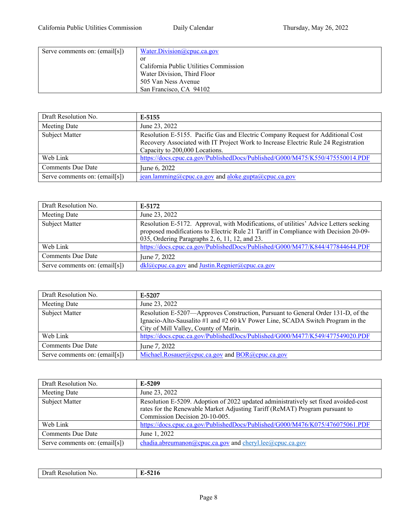| Serve comments on: (email[s]) | Water.Division@cpuc.ca.gov             |
|-------------------------------|----------------------------------------|
|                               | or                                     |
|                               | California Public Utilities Commission |
|                               | Water Division, Third Floor            |
|                               | 505 Van Ness Avenue                    |
|                               | San Francisco, CA 94102                |

| Draft Resolution No.          | E-5155                                                                                                                                                                                                  |
|-------------------------------|---------------------------------------------------------------------------------------------------------------------------------------------------------------------------------------------------------|
| Meeting Date                  | June 23, 2022                                                                                                                                                                                           |
| Subject Matter                | Resolution E-5155. Pacific Gas and Electric Company Request for Additional Cost<br>Recovery Associated with IT Project Work to Increase Electric Rule 24 Registration<br>Capacity to 200,000 Locations. |
| Web Link                      | https://docs.cpuc.ca.gov/PublishedDocs/Published/G000/M475/K550/475550014.PDF                                                                                                                           |
| <b>Comments Due Date</b>      | June 6, 2022                                                                                                                                                                                            |
| Serve comments on: (email[s]) | jean.lamming@cpuc.ca.gov and aloke.gupta@cpuc.ca.gov                                                                                                                                                    |

| Draft Resolution No.          | E-5172                                                                                                                                                                                                                          |
|-------------------------------|---------------------------------------------------------------------------------------------------------------------------------------------------------------------------------------------------------------------------------|
| Meeting Date                  | June 23, 2022                                                                                                                                                                                                                   |
| Subject Matter                | Resolution E-5172. Approval, with Modifications, of utilities' Advice Letters seeking<br>proposed modifications to Electric Rule 21 Tariff in Compliance with Decision 20-09-<br>035, Ordering Paragraphs 2, 6, 11, 12, and 23. |
| Web Link                      | https://docs.cpuc.ca.gov/PublishedDocs/Published/G000/M477/K844/477844644.PDF                                                                                                                                                   |
| <b>Comments Due Date</b>      | June 7, 2022                                                                                                                                                                                                                    |
| Serve comments on: (email[s]) | $dkl$ @cpuc.ca.gov and Justin.Regnier@cpuc.ca.gov                                                                                                                                                                               |

| Draft Resolution No.          | E-5207                                                                                                                                                                                                      |
|-------------------------------|-------------------------------------------------------------------------------------------------------------------------------------------------------------------------------------------------------------|
| Meeting Date                  | June 23, 2022                                                                                                                                                                                               |
| Subject Matter                | Resolution E-5207-Approves Construction, Pursuant to General Order 131-D, of the<br>Ignacio-Alto-Sausalito #1 and #2 60 kV Power Line, SCADA Switch Program in the<br>City of Mill Valley, County of Marin. |
| Web Link                      | https://docs.cpuc.ca.gov/PublishedDocs/Published/G000/M477/K549/477549020.PDF                                                                                                                               |
| <b>Comments Due Date</b>      | June 7, 2022                                                                                                                                                                                                |
| Serve comments on: (email[s]) | Michael.Rosauer@cpuc.ca.gov and BOR@cpuc.ca.gov                                                                                                                                                             |

| Draft Resolution No.          | E-5209                                                                                                                                                                                               |
|-------------------------------|------------------------------------------------------------------------------------------------------------------------------------------------------------------------------------------------------|
| Meeting Date                  | June 23, 2022                                                                                                                                                                                        |
| Subject Matter                | Resolution E-5209. Adoption of 2022 updated administratively set fixed avoided-cost<br>rates for the Renewable Market Adjusting Tariff (ReMAT) Program pursuant to<br>Commission Decision 20-10-005. |
| Web Link                      | https://docs.cpuc.ca.gov/PublishedDocs/Published/G000/M476/K075/476075061.PDF                                                                                                                        |
| <b>Comments Due Date</b>      | June 1, 2022                                                                                                                                                                                         |
| Serve comments on: (email[s]) | chadia.abreumanon@cpuc.ca.gov and cheryl.lee@cpuc.ca.gov                                                                                                                                             |

| יי |  |
|----|--|
|----|--|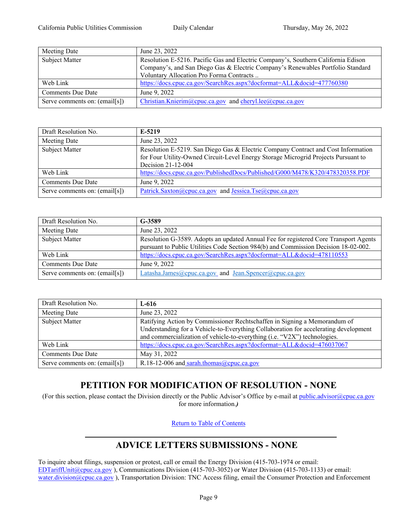| Meeting Date                  | June 23, 2022                                                                     |
|-------------------------------|-----------------------------------------------------------------------------------|
| Subject Matter                | Resolution E-5216. Pacific Gas and Electric Company's, Southern California Edison |
|                               | Company's, and San Diego Gas & Electric Company's Renewables Portfolio Standard   |
|                               | Voluntary Allocation Pro Forma Contracts                                          |
| Web Link                      | https://docs.cpuc.ca.gov/SearchRes.aspx?docformat=ALL&docid=477760380             |
| <b>Comments Due Date</b>      | June 9, 2022                                                                      |
| Serve comments on: (email[s]) | Christian.Knierim@cpuc.ca.gov and cheryl.lee@cpuc.ca.gov                          |

| Draft Resolution No.          | E-5219                                                                                                                                                                                        |
|-------------------------------|-----------------------------------------------------------------------------------------------------------------------------------------------------------------------------------------------|
| Meeting Date                  | June 23, 2022                                                                                                                                                                                 |
| Subject Matter                | Resolution E-5219. San Diego Gas & Electric Company Contract and Cost Information<br>for Four Utility-Owned Circuit-Level Energy Storage Microgrid Projects Pursuant to<br>Decision 21-12-004 |
| Web Link                      | https://docs.cpuc.ca.gov/PublishedDocs/Published/G000/M478/K320/478320358.PDF                                                                                                                 |
| <b>Comments Due Date</b>      | June 9, 2022                                                                                                                                                                                  |
| Serve comments on: (email[s]) | Patrick.Saxton@cpuc.ca.gov and Jessica.Tse@cpuc.ca.gov                                                                                                                                        |

| Draft Resolution No.          | G-3589                                                                                                                                                                      |
|-------------------------------|-----------------------------------------------------------------------------------------------------------------------------------------------------------------------------|
| Meeting Date                  | June 23, 2022                                                                                                                                                               |
| Subject Matter                | Resolution G-3589. Adopts an updated Annual Fee for registered Core Transport Agents<br>pursuant to Public Utilities Code Section 984(b) and Commission Decision 18-02-002. |
| Web Link                      | https://docs.cpuc.ca.gov/SearchRes.aspx?docformat=ALL&docid=478110553                                                                                                       |
| <b>Comments Due Date</b>      | June 9, 2022                                                                                                                                                                |
| Serve comments on: (email[s]) | Latasha.James@cpuc.ca.gov_and_Jean.Spencer@cpuc.ca.gov                                                                                                                      |

| Draft Resolution No.          | L-616                                                                                                                                                                                                                                          |
|-------------------------------|------------------------------------------------------------------------------------------------------------------------------------------------------------------------------------------------------------------------------------------------|
| Meeting Date                  | June 23, 2022                                                                                                                                                                                                                                  |
| Subject Matter                | Ratifying Action by Commissioner Rechtschaffen in Signing a Memorandum of<br>Understanding for a Vehicle-to-Everything Collaboration for accelerating development<br>and commercialization of vehicle-to-everything (i.e. "V2X") technologies. |
| Web Link                      | https://docs.cpuc.ca.gov/SearchRes.aspx?docformat=ALL&docid=476037067                                                                                                                                                                          |
| <b>Comments Due Date</b>      | May 31, 2022                                                                                                                                                                                                                                   |
| Serve comments on: (email[s]) | R.18-12-006 and sarah.thomas@cpuc.ca.gov                                                                                                                                                                                                       |

# **PETITION FOR MODIFICATION OF RESOLUTION - NONE**

(For this section, please contact the Division directly or the Public Advisor's Office by e-mail at [public.advisor@cpuc.ca.gov](mailto:public.advisor@cpuc.ca.gov?subject=Re:) for more information.*)*

Return to Table of [Contents](#page-0-0)

# <span id="page-8-0"></span>**ADVICE LETTERS SUBMISSIONS - NONE**

To inquire about filings, suspension or protest, call or email the Energy Division (415-703-1974 or email: [EDTariffUnit@cpuc.ca.gov](file://gc5filesrv231/VDI-AppData/CW4/AppData/Roaming/OpenText/OTEdit/cs_cpuc_ca_gov-otcs/c323758965/EDTariffUnit@cpuc.ca.gov) ), Communications Division (415-703-3052) or Water Division (415-703-1133) or email: water.division@cpuc.ca.gov), Transportation Division: TNC Access filing, email the Consumer Protection and Enforcement